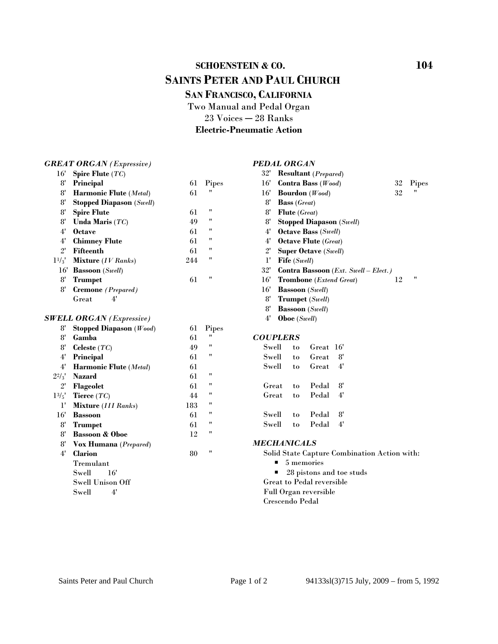# **SCHOENSTEIN & CO.** 104  **SAINTS PETER AND PAUL CHURCH SAN FRANCISCO, CALIFORNIA**

Two Manual and Pedal Organ  $23$  Voices  $-28$  Ranks **Electric-Pneumatic Action**

#### *GREAT ORGAN (Expressive)*

### *PEDAL ORGAN*

| 16'          | Spire Flute $(TC)$              |     |                    | 32'                                          |                                 | <b>Resultant</b> ( <i>Prepared</i> )    |                                      |        |       |  |
|--------------|---------------------------------|-----|--------------------|----------------------------------------------|---------------------------------|-----------------------------------------|--------------------------------------|--------|-------|--|
| 8'           | Principal                       | 61  | Pipes              | $16^{\circ}$                                 | Contra Bass (Wood)              |                                         |                                      | $32\,$ | Pipes |  |
| 8'           | Harmonic Flute (Metal)          | 61  | 11                 | 16'                                          | <b>Bourdon</b> (Wood)           |                                         |                                      | 32     | 11    |  |
| 8'           | <b>Stopped Diapason</b> (Swell) |     |                    | 8'                                           | <b>Bass</b> (Great)             |                                         |                                      |        |       |  |
| 8'           | <b>Spire Flute</b>              | 61  | $^{\prime\prime}$  | 8'                                           | <b>Flute</b> (Great)            |                                         |                                      |        |       |  |
| 8'           | Unda Maris $(TC)$               | 49  | $\pmb{\mathsf{H}}$ | 8'                                           | <b>Stopped Diapason</b> (Swell) |                                         |                                      |        |       |  |
| 4'           | <b>Octave</b>                   | 61  | 11                 | 4'                                           | <b>Octave Bass (Swell)</b>      |                                         |                                      |        |       |  |
| $4^{\prime}$ | <b>Chimney Flute</b>            | 61  | 11                 | 4'                                           | <b>Octave Flute</b> (Great)     |                                         |                                      |        |       |  |
| $2^{\prime}$ | <b>Fifteenth</b>                | 61  | 11                 | $2^{\prime}$                                 | <b>Super Octave (Swell)</b>     |                                         |                                      |        |       |  |
| $1^{1/3}$    | <b>Mixture</b> (IV Ranks)       | 244 | 11                 | $1^{\prime}$                                 | Fife (Swell)                    |                                         |                                      |        |       |  |
| 16'          | <b>Bassoon</b> (Swell)          |     |                    | 32'                                          |                                 |                                         | Contra Bassoon (Ext. Swell - Elect.) |        |       |  |
| $8^{\prime}$ | <b>Trumpet</b>                  | 61  | "                  | 16'                                          |                                 | <b>Trombone</b> ( <i>Extend Great</i> ) |                                      | 12     | 11    |  |
| 8'           | Cremone (Prepared)              |     |                    | 16'                                          | <b>Bassoon</b> (Swell)          |                                         |                                      |        |       |  |
|              | 4'<br>Great                     |     |                    | 8'                                           |                                 | <b>Trumpet</b> (Swell)                  |                                      |        |       |  |
|              |                                 |     |                    | 8'                                           | <b>Bassoon</b> (Swell)          |                                         |                                      |        |       |  |
|              | <b>SWELL ORGAN</b> (Expressive) |     |                    | $4^{\prime}$                                 | <b>Oboe</b> (Swell)             |                                         |                                      |        |       |  |
| 8'           | Stopped Diapason $(Wood)$       | 61  | Pipes              |                                              |                                 |                                         |                                      |        |       |  |
| 8'           | Gamba                           | 61  | 11                 |                                              | <b>COUPLERS</b>                 |                                         |                                      |        |       |  |
| 8'           | Celeste $(TC)$                  | 49  | 11                 | Swell                                        | to                              | Great 16'                               |                                      |        |       |  |
| 4'           | Principal                       | 61  | $\pmb{\mathsf{H}}$ | Swell                                        | to                              | Great                                   | 8'                                   |        |       |  |
| 4'           | Harmonic Flute (Metal)          | 61  |                    | Swell                                        | to                              | Great                                   | 4'                                   |        |       |  |
| $2^{2}/_{3}$ | <b>Nazard</b>                   | 61  | $\pmb{\mathsf{H}}$ |                                              |                                 |                                         |                                      |        |       |  |
| $2^{\prime}$ | Flageolet                       | 61  | 11                 | Great                                        | to                              | Pedal                                   | 8'                                   |        |       |  |
| $1^{3/5}$    | Tierce $(TC)$                   | 44  | 11                 | Great                                        | to                              | Pedal                                   | 4'                                   |        |       |  |
| $1^{\prime}$ | <b>Mixture</b> (III Ranks)      | 183 | 11                 |                                              |                                 |                                         |                                      |        |       |  |
| 16'          | <b>Bassoon</b>                  | 61  | 11                 | Swell                                        | to                              | Pedal                                   | 8'                                   |        |       |  |
| 8'           | <b>Trumpet</b>                  | 61  | "                  | Swell                                        | to                              | Pedal                                   | 4'                                   |        |       |  |
| 8'           | <b>Bassoon &amp; Oboe</b>       | 12  | 11                 |                                              |                                 |                                         |                                      |        |       |  |
| 8'           | Vox Humana (Prepared)           |     |                    |                                              | <b>MECHANICALS</b>              |                                         |                                      |        |       |  |
| 4'           | <b>Clarion</b>                  | 80  | 11                 | Solid State Capture Combination Action with: |                                 |                                         |                                      |        |       |  |
|              | Tremulant                       |     |                    | 5 memories                                   |                                 |                                         |                                      |        |       |  |
|              | Swell<br>16'                    |     |                    |                                              | 28 pistons and toe studs        |                                         |                                      |        |       |  |
|              | <b>Swell Unison Off</b>         |     |                    |                                              | Great to Pedal reversible       |                                         |                                      |        |       |  |
|              | 4'<br>Swell                     |     |                    |                                              | Full Organ reversible           |                                         |                                      |        |       |  |

Swell 4'

#### Saints Peter and Paul Church Page 1 of 2 94133sl(3)715 July, 2009 – from 5, 1992

Crescendo Pedal